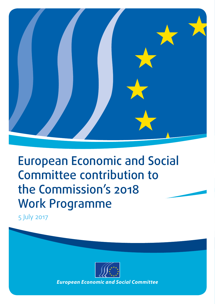

# **Work Programme**<br> *E* July 2017 European Economic and Social Committee contribution to the Commission's 2018 Work Programme

5 July 2017



*European Economic and Social Committee*<br>And The Committee Social Committee<br>The Committee Social Committee Social Committee Social Committee Social Committee Social Committee Social Comm *European Economic and Social Committee*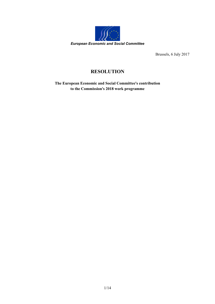

Brussels, 6 July 2017

## **RESOLUTION**

**The European Economic and Social Committee's contribution to the Commission's 2018 work programme**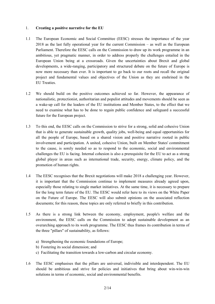#### 1. **Creating a positive narrative for the EU**

- 1.1 The European Economic and Social Committee (EESC) stresses the importance of the year 2018 as the last fully operational year for the current Commission – as well as the European Parliament. Therefore the EESC calls on the Commission to draw up its work programme in an ambitious, yet pragmatic manner, in order to address properly the challenges entailed in the European Union being at a crossroads. Given the uncertainties about Brexit and global developments, a wide-ranging, participatory and structured debate on the future of Europe is now more necessary than ever. It is important to go back to our roots and recall the original project and fundamental values and objectives of the Union as they are enshrined in the EU Treaties.
- 1.2 We should build on the positive outcomes achieved so far. However, the appearance of nationalistic, protectionist, authoritarian and populist attitudes and movements should be seen as a wake-up call for the leaders of the EU institutions and Member States, to the effect that we need to examine what has to be done to regain public confidence and safeguard a successful future for the European project.
- 1.3 To this end, the EESC calls on the Commission to strive for a strong, solid and cohesive Union that is able to generate sustainable growth, quality jobs, well-being and equal opportunities for all the people of Europe, based on a shared vision and positive narrative rooted in public involvement and participation. A united, cohesive Union, built on Member States' commitment to the cause, is sorely needed so as to respond to the economic, social and environmental challenges the EU is facing. Internal cohesion is also a prerequisite for the EU to act as a strong global player in areas such as international trade, security, energy, climate policy, and the promotion of human rights.
- 1.4 The EESC recognises that the Brexit negotiations will make 2018 a challenging year. However, it is important that the Commission continue to implement measures already agreed upon, especially those relating to single market initiatives. At the same time, it is necessary to prepare for the long term future of the EU. The EESC would refer here to its views on the White Paper on the Future of Europe. The EESC will also submit opinions on the associated reflection documents; for this reason, these topics are only referred to briefly in this contribution.
- 1.5 As there is a strong link between the economy, employment, people's welfare and the environment, the EESC calls on the Commission to adopt sustainable development as an overarching approach to its work programme. The EESC thus frames its contribution in terms of the three "pillars" of sustainability, as follows:
	- a) Strengthening the economic foundations of Europe;
	- b) Fostering its social dimension; and
	- c) Facilitating the transition towards a low-carbon and circular economy.
- 1.6 The EESC emphasises that the pillars are universal, indivisible and interdependent. The EU should be ambitious and strive for policies and initiatives that bring about win-win-win solutions in terms of economic, social and environmental benefits.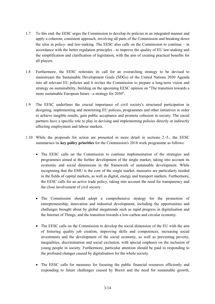- 1.7 To this end, the EESC urges the Commission to develop its policies in an integrated manner and apply a coherent, consistent approach, involving all parts of the Commission and breaking down the silos in policy- and law-making. The EESC also calls on the Commission to continue – in accordance with the better regulation principles - to improve the quality of EU law-making and the simplification and clarification of legislation, with the aim of creating practical benefits for all players.
- 1.8 Furthermore, the EESC reiterates its call for an overarching strategy to be devised to mainstream the Sustainable Development Goals (SDGs) of the United Nations 2030 Agenda into all relevant EU policies and it invites the Commission to prepare a long-term vision and strategy on sustainability, building on the upcoming EESC opinion on "The transition towards a more sustainable European future - a strategy for 2050".
- 1.9 The EESC underlines the crucial importance of civil society's structured participation in designing, implementing and monitoring EU policies, programmes and other initiatives in order to achieve tangible results, gain public acceptance and promote cohesion in society. The social partners have a specific role to play in devising and implementing policies directly or indirectly affecting employment and labour markets.
- 1.10 While the proposals for action are presented in more detail in sections 2.-5., the EESC summarises its **key policy priorities** for the Commission's 2018 work programme as follows:
	- The EESC calls on the Commission to continue implementation of the strategies and programmes aimed at the further development of the single market, taking into account its economic and social dimensions in the framework of sustainable development. While recognising that the EMU is the core of the single market, measures are particularly needed in the fields of capital markets, as well as digital, energy and transport markets. Furthermore, the EESC calls for an active trade policy, taking into account the need for transparency and the close involvement of civil society.
	- The Commission should adopt a comprehensive strategy for the promotion of entrepreneurship, innovation and industrial development, including the opportunities and challenges brought about by global megatrends such as rapid progress in digitalisation and the Internet of Things, and the transition towards a low-carbon and circular economy.
	- The EESC calls on the Commission to develop the social dimension of the EU with the aim of fostering quality job creation, improving skills and competences, increasing social investments and the development of the social economy, as well as preventing poverty, inequalities, discrimination and social exclusion, with special emphasis on the inclusion of young people in society. Furthermore, particular attention should be paid to responding to the profound changes caused by digitalisation for the whole society.
	- The EESC calls for measures for focusing the public financial resources efficiently and responding to future challenges caused by Brexit and the need for sustainable growth,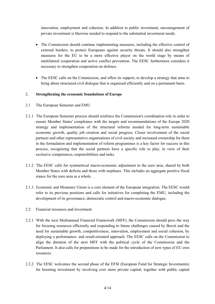innovation, employment and cohesion. In addition to public investment, encouragement of private investment is likewise needed to respond to the substantial investment needs.

- The Commission should continue implementing measures, including the effective control of external borders, to protect Europeans against security threats. It should also strengthen measures for the EU to be a more effective player on the world stage by means of multilateral cooperation and active conflict prevention. The EESC furthermore considers it necessary to strengthen cooperation on defence.
- The EESC calls on the Commission, and offers its support, to develop a strategy that aims to bring about structured civil dialogue that is organised efficiently and on a permanent basis.

#### 2. **Strengthening the economic foundations of Europe**

- 2.1 The European Semester and EMU
- 2.1.1 The European Semester process should reinforce the Commission's coordination role in order to ensure Member States' compliance with the targets and recommendations of the Europe 2020 strategy and implementation of the structural reforms needed for long-term sustainable economic growth, quality job creation and social progress. Closer involvement of the social partners and other representative organisations of civil society and increased ownership for them in the formulation and implementation of reform programmes is a key factor for success in this process, recognising that the social partners have a specific role to play, in view of their exclusive competences, responsibilities and tasks.
- 2.1.2 The EESC calls for symmetrical macro-economic adjustment in the euro area, shared by both Member States with deficits and those with surpluses. This includes an aggregate positive fiscal stance for the euro area as a whole.
- 2.1.3 Economic and Monetary Union is a core element of the European integration. The EESC would refer to its previous positions and calls for initiatives for completing the EMU, including the development of its governance, democratic control and macro-economic dialogue.
- 2.2 Financial resources and investment
- 2.2.1 With the next Multiannual Financial Framework (MFF), the Commission should pave the way for focusing resources efficiently and responding to future challenges caused by Brexit and the need for sustainable growth, competitiveness, innovation, employment and social cohesion, by deploying a performance- and result-oriented approach. The EESC calls on the Commission to align the duration of the next MFF with the political cycle of the Commission and the Parliament. It also calls for preparations to be made for the introduction of new types of EU own resources.
- 2.2.2 The EESC welcomes the second phase of the EFSI (European Fund for Strategic Investments) for boosting investment by involving ever more private capital, together with public capital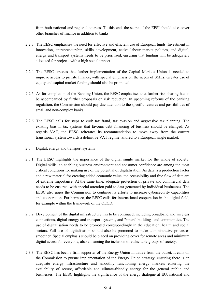from both national and regional sources. To this end, the scope of the EFSI should also cover other branches of finance in addition to banks.

- 2.2.3 The EESC emphasises the need for effective and efficient use of European funds. Investment in innovation, entrepreneurship, skills development, active labour market policies, and digital, energy and transport systems needs to be prioritised, ensuring that funding will be adequately allocated for projects with a high social impact.
- 2.2.4 The EESC stresses that further implementation of the Capital Markets Union is needed to improve access to private finance, with special emphasis on the needs of SMEs. Greater use of equity and capital market funding should also be promoted.
- 2.2.5 As for completion of the Banking Union, the EESC emphasises that further risk-sharing has to be accompanied by further proposals on risk reduction. In upcoming reforms of the banking regulation, the Commission should pay due attention to the specific features and possibilities of small and non-complex banks.
- 2.2.6 The EESC calls for steps to curb tax fraud, tax evasion and aggressive tax planning. The existing bias in tax systems that favours debt financing of business should be changed. As regards VAT, the EESC reiterates its recommendation to move away from the current transitional system towards a definitive VAT regime tailored to a European single market.
- 2.3 Digital, energy and transport systems
- 2.3.1 The EESC highlights the importance of the digital single market for the whole of society. Digital skills, an enabling business environment and consumer confidence are among the most critical conditions for making use of the potential of digitalisation. As data is a production factor and a raw material for creating added economic value, the accessibility and free flow of data are of extreme importance. At the same time, adequate protection of private and commercial data needs to be ensured, with special attention paid to data generated by individual businesses. The EESC also urges the Commission to continue its efforts to increase cybersecurity capabilities and cooperation. Furthermore, the EESC calls for international cooperation in the digital field, for example within the framework of the OECD.
- 2.3.2 Development of the digital infrastructure has to be continued, including broadband and wireless connections, digital energy and transport systems, and "smart" buildings and communities. The use of digitalisation needs to be promoted correspondingly in the education, health and social sectors. Full use of digitalisation should also be promoted to make administrative processes smoother. Special emphasis should be placed on providing cover for remote areas and minimum digital access for everyone, also enhancing the inclusion of vulnerable groups of society.
- 2.3.3 The EESC has been a firm supporter of the Energy Union initiative from the outset. It calls on the Commission to pursue implementation of the Energy Union strategy, ensuring there is an adequate energy infrastructure and smoothly functioning energy markets ensuring the availability of secure, affordable and climate-friendly energy for the general public and businesses. The EESC highlights the significance of the energy dialogue at EU, national and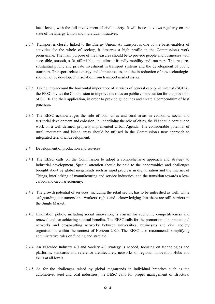local levels, with the full involvement of civil society. It will issue its views regularly on the state of the Energy Union and individual initiatives.

- 2.3.4 Transport is closely linked to the Energy Union. As transport is one of the basic enablers of activities for the whole of society, it deserves a high profile in the Commission's work programme. The main purpose of the measures should be to provide people and businesses with accessible, smooth, safe, affordable, and climate-friendly mobility and transport. This requires substantial public and private investment in transport systems and the development of public transport. Transport-related energy and climate issues, and the introduction of new technologies should not be developed in isolation from transport market issues.
- 2.3.5 Taking into account the horizontal importance of services of general economic interest (SGEIs), the EESC invites the Commission to improve the rules on public compensation for the provision of SGEIs and their application, in order to provide guidelines and create a compendium of best practices.
- 2.3.6 The EESC acknowledges the role of both cities and rural areas in economic, social and territorial development and cohesion. In underlining the role of cities, the EU should continue to work on a well-defined, properly implemented Urban Agenda. The considerable potential of rural, mountain and island areas should be utilised in the Commission's new approach to integrated territorial development.
- 2.4 Development of production and services
- 2.4.1 The EESC calls on the Commission to adopt a comprehensive approach and strategy to industrial development. Special attention should be paid to the opportunities and challenges brought about by global megatrends such as rapid progress in digitalisation and the Internet of Things, interlocking of manufacturing and service industries, and the transition towards a lowcarbon and circular economy.
- 2.4.2 The growth potential of services, including the retail sector, has to be unleashed as well, while safeguarding consumers' and workers' rights and acknowledging that there are still barriers in the Single Market.
- 2.4.3 Innovation policy, including social innovation, is crucial for economic competitiveness and renewal and for achieving societal benefits. The EESC calls for the promotion of supranational networks and cross-cutting networks between universities, businesses and civil society organisations within the context of Horizon 2020. The EESC also recommends simplifying administrative rules on funding and state aid.
- 2.4.4 An EU-wide Industry 4.0 and Society 4.0 strategy is needed, focusing on technologies and platforms, standards and reference architectures, networks of regional Innovation Hubs and skills at all levels.
- 2.4.5 As for the challenges raised by global megatrends in individual branches such as the automotive, steel and coal industries, the EESC calls for proper management of structural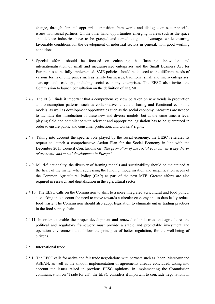change, through fair and appropriate transition frameworks and dialogue on sector-specific issues with social partners. On the other hand, opportunities emerging in areas such as the space and defence industries have to be grasped and turned to good advantage, while ensuring favourable conditions for the development of industrial sectors in general, with good working conditions.

- 2.4.6 Special efforts should be focused on enhancing the financing, innovation and internationalisation of small and medium-sized enterprises and the Small Business Act for Europe has to be fully implemented. SME policies should be tailored to the different needs of various forms of enterprises such as family businesses, traditional small and micro enterprises, start-ups and scale-ups, including social economy enterprises. The EESC also invites the Commission to launch consultation on the definition of an SME.
- 2.4.7 The EESC finds it important that a comprehensive view be taken on new trends in production and consumption patterns, such as collaborative, circular, sharing and functional economic models, as well as development opportunities such as the social economy. Measures are needed to facilitate the introduction of these new and diverse models, but at the same time, a level playing field and compliance with relevant and appropriate legislation has to be guaranteed in order to ensure public and consumer protection, and workers' rights.
- 2.4.8 Taking into account the specific role played by the social economy, the EESC reiterates its request to launch a comprehensive Action Plan for the Social Economy in line with the December 2015 Council Conclusions on *"The promotion of the social economy as a key driver of economic and social development in Europe".*
- 2.4.9 Multi-functionality, the diversity of farming models and sustainability should be maintained at the heart of the matter when addressing the funding, modernisation and simplification needs of the Common Agricultural Policy (CAP) as part of the next MFF. Greater efforts are also required in research and digitalisation in the agricultural sector.
- 2.4.10 The EESC calls on the Commission to shift to a more integrated agricultural and food policy, also taking into account the need to move towards a circular economy and to drastically reduce food waste. The Commission should also adopt legislation to eliminate unfair trading practices in the food supply chain.
- 2.4.11 In order to enable the proper development and renewal of industries and agriculture, the political and regulatory framework must provide a stable and predictable investment and operation environment and follow the principles of better regulation, for the well-being of citizens.
- 2.5 International trade
- 2.5.1 The EESC calls for active and fair trade negotiations with partners such as Japan, Mercosur and ASEAN, as well as the smooth implementation of agreements already concluded, taking into account the issues raised in previous EESC opinions. In implementing the Commission communication on "Trade for all", the EESC considers it important to conclude negotiations in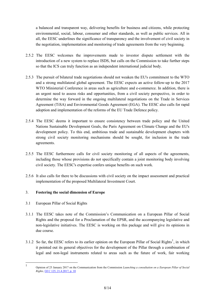a balanced and transparent way, delivering benefits for business and citizens, while protecting environmental, social, labour, consumer and other standards, as well as public services. All in all, the EESC underlines the significance of transparency and the involvement of civil society in the negotiation, implementation and monitoring of trade agreements from the very beginning.

- 2.5.2 The EESC welcomes the improvements made to investor dispute settlement with the introduction of a new system to replace ISDS, but calls on the Commission to take further steps so that the ICS can truly function as an independent international judicial body.
- 2.5.3 The pursuit of bilateral trade negotiations should not weaken the EU's commitment to the WTO and a strong multilateral global agreement. The EESC expects an active follow-up to the 2017 WTO Ministerial Conference in areas such as agriculture and e-commerce. In addition, there is an urgent need to assess risks and opportunities, from a civil society perspective, in order to determine the way forward in the ongoing multilateral negotiations on the Trade in Services Agreement (TiSA) and Environmental Goods Agreement (EGA). The EESC also calls for rapid adoption and implementation of the reforms of the EU Trade Defence policy.
- 2.5.4 The EESC deems it important to ensure consistency between trade policy and the United Nations Sustainable Development Goals, the Paris Agreement on Climate Change and the EU's development policy. To this end, ambitious trade and sustainable development chapters with strong civil society monitoring mechanisms should be sought, for inclusion in the trade agreements.
- 2.5.5 The EESC furthermore calls for civil society monitoring of all aspects of the agreements, including those whose provisions do not specifically contain a joint monitoring body involving civil society. The EESC's expertise confers unique benefits on such work.
- 2.5.6 It also calls for there to be discussions with civil society on the impact assessment and practical implementation of the proposed Multilateral Investment Court.

### 3. **Fostering the social dimension of Europe**

- 3.1 European Pillar of Social Rights
- 3.1.1 The EESC takes note of the Commission's Communication on a European Pillar of Social Rights and the proposal for a Proclamation of the EPSR, and the accompanying legislative and non-legislative initiatives. The EESC is working on this package and will give its opinions in due course.
- 3.1.2 So far, the EESC refers to its earlier opinion on the European Pillar of Social Rights<sup>1</sup>, in which it pointed out its general objectives for the development of the Pillar through a combination of legal and non-legal instruments related to areas such as the future of work, fair working

<sup>1</sup> Opinion of 25 January 2017 on the Communication from the Commission *Launching a consultation on a European Pillar of Social Rights,* OJ C 125, 21.4.2017, p. 10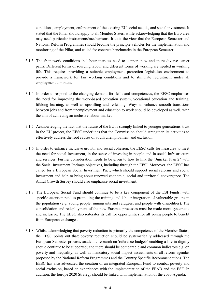conditions, employment, enforcement of the existing EU social acquis, and social investment. It stated that the Pillar should apply to all Member States, while acknowledging that the Euro area may need particular instruments/mechanisms. It took the view that the European Semester and National Reform Programmes should become the principle vehicles for the implementation and monitoring of the Pillar, and called for concrete benchmarks in the European Semester.

- 3.1.3 The framework conditions in labour markets need to support new and more diverse career paths. Different forms of sourcing labour and different forms of working are needed in working life. This requires providing a suitable employment protection legislation environment to provide a framework for fair working conditions and to stimulate recruitment under all employment contracts.
- 3.1.4 In order to respond to the changing demand for skills and competences, the EESC emphasises the need for improving the work-based education system, vocational education and training, lifelong learning, as well as upskilling and reskilling. Ways to enhance smooth transitions between jobs and from unemployment and education to work should be developed as well, with the aim of achieving an inclusive labour market.
- 3.1.5 Acknowledging the fact that the future of the EU is strongly linked to younger generations' trust in the EU project, the EESC underlines that the Commission should strengthen its activities to effectively address the root causes of youth unemployment and exclusion.
- 3.1.6 In order to enhance inclusive growth and social cohesion, the EESC calls for measures to meet the need for social investment, in the sense of investing in people and in social infrastructure and services. Further consideration needs to be given to how to link the "Juncker Plan 2" with the Social Investment Package objectives, including through the EFSI. Moreover, the EESC has called for a European Social Investment Pact, which should support social reforms and social investment and help to bring about renewed economic, social and territorial convergence. The Annul Growth Survey should also emphasise social investment.
- 3.1.7 The European Social Fund should continue to be a key component of the ESI Funds, with specific attention paid to promoting the training and labour integration of vulnerable groups in the population (e.g. young people, immigrants and refugees, and people with disabilities). The consolidation and redeployment of the new Erasmus processes must be made more systematic and inclusive. The EESC also reiterates its call for opportunities for all young people to benefit from European exchanges.
- 3.1.8 Whilst acknowledging that poverty reduction is primarily the competence of the Member States, the EESC points out that: poverty reduction should be systematically addressed through the European Semester process; academic research on 'reference budgets' enabling a life in dignity should continue to be supported; and there should be comparable and common indicators e.g. on poverty and inequality, as well as mandatory social impact assessments of all reform agendas proposed by the National Reform Programmes and the Country Specific Recommendations. The EESC has also advocated the creation of an integrated European Fund to combat poverty and social exclusion, based on experiences with the implementation of the FEAD and the ESF. In addition, the Europe 2020 Strategy should be linked with implementation of the 2030 Agenda.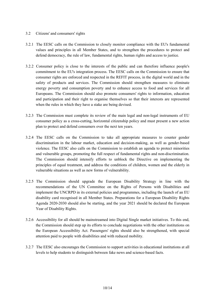#### 3.2 Citizens' and consumers' rights

- 3.2.1 The EESC calls on the Commission to closely monitor compliance with the EU's fundamental values and principles in all Member States, and to strengthen the procedures to protect and defend democracy, the rule of law, fundamental rights, human rights and access to justice.
- 3.2.2 Consumer policy is close to the interests of the public and can therefore influence people's commitment to the EU's integration process. The EESC calls on the Commission to ensure that consumer rights are enforced and respected in the REFIT process, in the digital world and in the safety of products and services. The Commission should strengthen measures to eliminate energy poverty and consumption poverty and to enhance access to food and services for all Europeans. The Commission should also promote consumers' rights to information, education and participation and their right to organise themselves so that their interests are represented when the rules in which they have a stake are being devised.
- 3.2.3 The Commission must complete its review of the main legal and non-legal instruments of EU consumer policy as a cross-cutting, horizontal citizenship policy and must present a new action plan to protect and defend consumers over the next ten years.
- 3.2.4 The EESC calls on the Commission to take all appropriate measures to counter gender discrimination in the labour market, education and decision-making, as well as gender-based violence. The EESC also calls on the Commission to establish an agenda to protect minorities and vulnerable groups, promoting the full respect of fundamental rights and non-discrimination. The Commission should intensify efforts to unblock the Directive on implementing the principles of equal treatment, and address the conditions of children, women and the elderly in vulnerable situations as well as new forms of vulnerability.
- 3.2.5 The Commission should upgrade the European Disability Strategy in line with the recommendations of the UN Committee on the Rights of Persons with Disabilities and implement the UNCRPD in its external policies and programmes, including the launch of an EU disability card recognised in all Member States. Preparations for a European Disability Rights Agenda 2020-2030 should also be starting, and the year 2021 should be declared the European Year of Disability Rights.
- 3.2.6 Accessibility for all should be mainstreamed into Digital Single market initiatives. To this end, the Commission should step up its efforts to conclude negotiations with the other institutions on the European Accessibility Act. Passengers' rights should also be strengthened, with special attention paid to people with disabilities and with reduced mobility.
- 3.2.7 The EESC also encourages the Commission to support activities in educational institutions at all levels to help students to distinguish between fake news and science-based facts.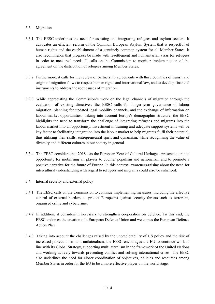#### 3.3 Migration

- 3.3.1 The EESC underlines the need for assisting and integrating refugees and asylum seekers. It advocates an efficient reform of the Common European Asylum System that is respectful of human rights and the establishment of a genuinely common system for all Member States. It also recommends that progress be made with resettlement and humanitarian visas for refugees in order to meet real needs. It calls on the Commission to monitor implementation of the agreement on the distribution of refugees among Member States.
- 3.3.2 Furthermore, it calls for the review of partnership agreements with third countries of transit and origin of migration flows to respect human rights and international law, and to develop financial instruments to address the root causes of migration.
- 3.3.3 While appreciating the Commission's work on the legal channels of migration through the evaluation of existing directives, the EESC calls for longer-term governance of labour migration, planning for updated legal mobility channels, and the exchange of information on labour market opportunities. Taking into account Europe's demographic structure, the EESC highlights the need to transform the challenge of integrating refugees and migrants into the labour market into an opportunity. Investment in training and adequate support systems will be key factor to facilitating integration into the labour market to help migrants fulfil their potential, thus utilising their skills, entrepreneurial spirit and dynamism, while recognising the value of diversity and different cultures in our society in general.
- 3.3.4 The EESC considers that 2018 as the European Year of Cultural Heritage presents a unique opportunity for mobilising all players to counter populism and nationalism and to promote a positive narrative for the future of Europe. In this context, awareness-raising about the need for intercultural understanding with regard to refugees and migrants could also be enhanced.
- 3.4 Internal security and external policy
- 3.4.1 The EESC calls on the Commission to continue implementing measures, including the effective control of external borders, to protect Europeans against security threats such as terrorism, organised crime and cybercrime.
- 3.4.2 In addition, it considers it necessary to strengthen cooperation on defence. To this end, the EESC endorses the creation of a European Defence Union and welcomes the European Defence Action Plan.
- 3.4.3 Taking into account the challenges raised by the unpredictability of US policy and the risk of increased protectionism and unilateralism, the EESC encourages the EU to continue work in line with its Global Strategy, supporting multilateralism in the framework of the United Nations and working actively towards preventing conflict and solving international crises. The EESC also underlines the need for closer coordination of objectives, policies and resources among Member States in order for the EU to be a more effective player on the world stage.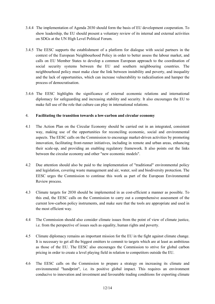- 3.4.4 The implementation of Agenda 2030 should form the basis of EU development cooperation. To show leadership, the EU should present a voluntary review of its internal and external activities on SDGs at the UN High Level Political Forum.
- 3.4.5 The EESC supports the establishment of a platform for dialogue with social partners in the context of the European Neighbourhood Policy in order to better assess the labour market, and calls on EU Member States to develop a common European approach to the coordination of social security systems between the EU and southern neighbouring countries. The neighbourhood policy must make clear the link between instability and poverty, and inequality and the lack of opportunities, which can increase vulnerability to radicalisation and hamper the process of democratisation.
- 3.4.6 The EESC highlights the significance of external economic relations and international diplomacy for safeguarding and increasing stability and security. It also encourages the EU to make full use of the role that culture can play in international relations.

#### 4. **Facilitating the transition towards a low-carbon and circular economy**

- 4.1 The Action Plan on the Circular Economy should be carried out in an integrated, consistent way, making use of the opportunities for reconciling economic, social and environmental aspects. The EESC calls on the Commission to encourage market-driven activities by promoting innovation, facilitating front-runner initiatives, including in remote and urban areas, enhancing their scale-up, and providing an enabling regulatory framework. It also points out the links between the circular economy and other "new economic models".
- 4.2 Due attention should also be paid to the implementation of "traditional" environmental policy and legislation, covering waste management and air, water, soil and biodiversity protection. The EESC urges the Commission to continue this work as part of the European Environmental Review process.
- 4.3 Climate targets for 2030 should be implemented in as cost-efficient a manner as possible. To this end, the EESC calls on the Commission to carry out a comprehensive assessment of the current low-carbon policy instruments, and make sure that the tools are appropriate and used in the most efficient way.
- 4.4 The Commission should also consider climate issues from the point of view of climate justice, i.e. from the perspective of issues such as equality, human rights and poverty.
- 4.5 Climate diplomacy remains an important mission for the EU in the fight against climate change. It is necessary to get all the biggest emitters to commit to targets which are at least as ambitious as those of the EU. The EESC also encourages the Commission to strive for global carbon pricing in order to create a level playing field in relation to competitors outside the EU.
- 4.6 The EESC calls on the Commission to prepare a strategy on increasing its climate and environmental "handprint", i.e. its positive global impact. This requires an environment conducive to innovation and investment and favourable trading conditions for exporting climate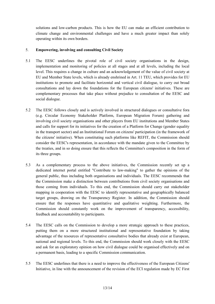solutions and low-carbon products. This is how the EU can make an efficient contribution to climate change and environmental challenges and have a much greater impact than solely operating within its own borders.

#### 5. **Empowering, involving and consulting Civil Society**

- 5.1 The EESC underlines the pivotal role of civil society organisations in the design, implementation and monitoring of policies at all stages and at all levels, including the local level. This requires a change in culture and an acknowledgement of the value of civil society at EU and Member State levels, which is already enshrined in Art. 11 TEU, which provides for EU institutions to promote and facilitate horizontal and vertical civil dialogue, to carry out broad consultations and lay down the foundations for the European citizens' initiatives. These are complementary processes that take place without prejudice to consultation of the EESC and social dialogue.
- 5.2 The EESC follows closely and is actively involved in structured dialogues or consultative fora (e.g. Circular Economy Stakeholder Platform, European Migration Forum) gathering and involving civil society organisations and other players from EU institutions and Member States and calls for support for its initiatives for the creation of a Platform for Change (gender equality in the transport sector) and an Institutional Forum on citizens' participation (in the framework of the citizens' initiative). When constituting such platforms like REFIT, the Commission should consider the EESC's representation, in accordance with the mandate given to the Committee by the treaties, and in so doing ensure that this reflects the Committee's composition in the form of its three groups.
- 5.3 As a complementary process to the above initiatives, the Commission recently set up a dedicated internet portal entitled "Contribute to law-making" to gather the opinions of the general public, thus including both organisations and individuals. The EESC recommends that the Commission make a distinction between contributions from civil society organisations and those coming from individuals. To this end, the Commission should carry out stakeholder mapping in cooperation with the EESC to identify representative and geographically balanced target groups, drawing on the Transparency Register. In addition, the Commission should ensure that the responses have quantitative and qualitative weighting. Furthermore, the Commission should constantly work on the improvement of transparency, accessibility, feedback and accountability to participants.
- 5.4 The EESC calls on the Commission to develop a more strategic approach to these practices, putting them on a more structured institutional and representative foundation by taking advantage of the resources of representative consultative bodies that already exist at European, national and regional levels. To this end, the Commission should work closely with the EESC and ask for an exploratory opinion on how civil dialogue could be organised effectively and on a permanent basis, leading to a specific Commission communication.
- 5.5 The EESC underlines that there is a need to improve the effectiveness of the European Citizens' Initiative, in line with the announcement of the revision of the ECI regulation made by EC First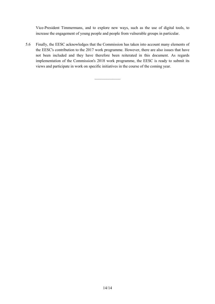Vice-President Timmermans, and to explore new ways, such as the use of digital tools, to increase the engagement of young people and people from vulnerable groups in particular.

5.6 Finally, the EESC acknowledges that the Commission has taken into account many elements of the EESC's contribution to the 2017 work programme. However, there are also issues that have not been included and they have therefore been reiterated in this document. As regards implementation of the Commission's 2018 work programme, the EESC is ready to submit its views and participate in work on specific initiatives in the course of the coming year.

 $\mathcal{L}_\text{max}$